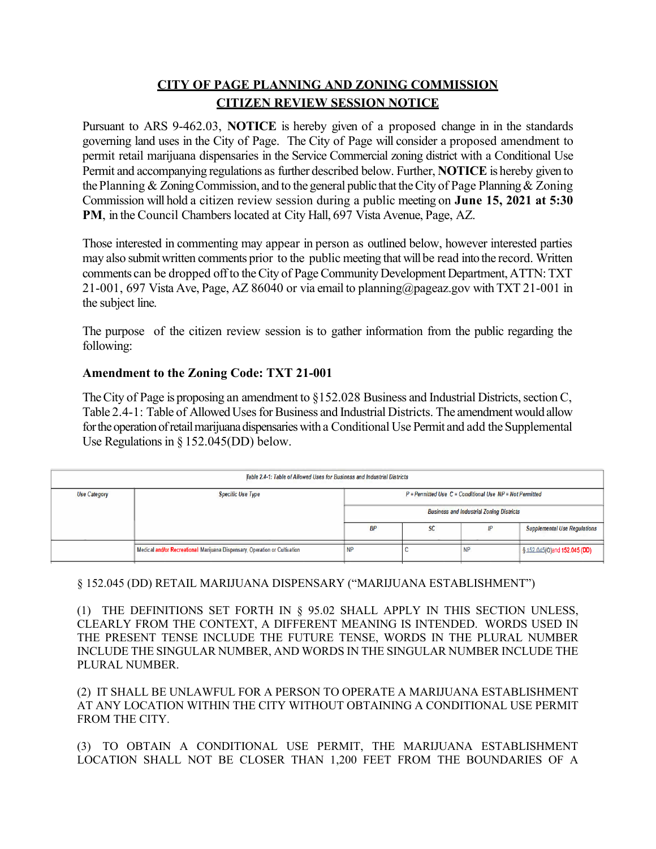## **CITY OF PAGE PLANNING AND ZONING COMMISSION CITIZEN REVIEW SESSION NOTICE**

Pursuant to ARS 9-462.03, **NOTICE** is hereby given of a proposed change in in the standards governing land uses in the City of Page. The City of Page will consider a proposed amendment to permit retail marijuana dispensaries in the Service Commercial zoning district with a Conditional Use Permit and accompanying regulations as further described below. Further, **NOTICE** is hereby given to the Planning & Zoning Commission, and to the general public that the City of Page Planning & Zoning Commission will hold a citizen review session during a public meeting on **June 15, 2021 at 5:30 PM**, in the Council Chambers located at City Hall, 697 Vista Avenue, Page, AZ.

Those interested in commenting may appear in person as outlined below, however interested parties may also submit written comments prior to the public meeting that will be read into the record. Written comments can be dropped off to the City of Page Community Development Department, ATTN: TXT 21-001, 697 Vista Ave, Page, AZ 86040 or via email t[o planning@pageaz.gov](mailto:planning@pageaz.gov) with TXT 21-001 in the subject line.

The purpose of the citizen review session is to gather information from the public regarding the following:

## **Amendment to the Zoning Code: TXT 21-001**

The City of Page is proposing an amendment to §152.028 Business and Industrial Districts, section C, Table 2.4-1: Table of Allowed Uses for Business and Industrial Districts. The amendment would allow for the operation of retail marijuana dispensaries with a Conditional Use Permit and add the Supplemental Use Regulations in  $\S 152.045(DD)$  below.

| Table 2.4-1: Table of Allowed Uses for Business and Industrial Districts |                                                                            |                                                                                                                    |    |           |                                      |
|--------------------------------------------------------------------------|----------------------------------------------------------------------------|--------------------------------------------------------------------------------------------------------------------|----|-----------|--------------------------------------|
| <b>Use Category</b>                                                      | <b>Specific Use Type</b>                                                   | $P = P$ ermitted Use $C =$ Conditional Use $NP = Not$ Permitted<br><b>Business and Industrial Zoning Districts</b> |    |           |                                      |
|                                                                          |                                                                            |                                                                                                                    |    |           |                                      |
|                                                                          |                                                                            | BP                                                                                                                 | SC | lΡ        | <b>Supplemental Use Regulations</b>  |
|                                                                          | Medical and/or Recreational Marijuana Dispensary, Operation or Cultivation | <b>NP</b>                                                                                                          |    | <b>NP</b> | $\frac{152.045}{0}$ and 152.045 (DD) |

## § 152.045 (DD) RETAIL MARIJUANA DISPENSARY ("MARIJUANA ESTABLISHMENT")

(1) THE DEFINITIONS SET FORTH IN § 95.02 SHALL APPLY IN THIS SECTION UNLESS, CLEARLY FROM THE CONTEXT, A DIFFERENT MEANING IS INTENDED. WORDS USED IN THE PRESENT TENSE INCLUDE THE FUTURE TENSE, WORDS IN THE PLURAL NUMBER INCLUDE THE SINGULAR NUMBER, AND WORDS IN THE SINGULAR NUMBER INCLUDE THE PLURAL NUMBER.

(2) IT SHALL BE UNLAWFUL FOR A PERSON TO OPERATE A MARIJUANA ESTABLISHMENT AT ANY LOCATION WITHIN THE CITY WITHOUT OBTAINING A CONDITIONAL USE PERMIT FROM THE CITY.

(3) TO OBTAIN A CONDITIONAL USE PERMIT, THE MARIJUANA ESTABLISHMENT LOCATION SHALL NOT BE CLOSER THAN 1,200 FEET FROM THE BOUNDARIES OF A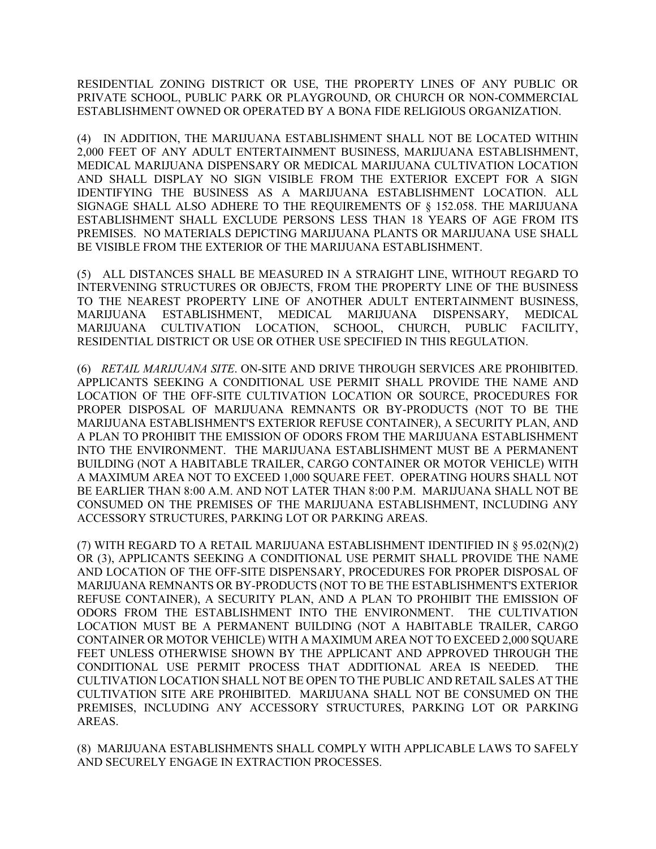RESIDENTIAL ZONING DISTRICT OR USE, THE PROPERTY LINES OF ANY PUBLIC OR PRIVATE SCHOOL, PUBLIC PARK OR PLAYGROUND, OR CHURCH OR NON-COMMERCIAL ESTABLISHMENT OWNED OR OPERATED BY A BONA FIDE RELIGIOUS ORGANIZATION.

(4) IN ADDITION, THE MARIJUANA ESTABLISHMENT SHALL NOT BE LOCATED WITHIN 2,000 FEET OF ANY ADULT ENTERTAINMENT BUSINESS, MARIJUANA ESTABLISHMENT, MEDICAL MARIJUANA DISPENSARY OR MEDICAL MARIJUANA CULTIVATION LOCATION AND SHALL DISPLAY NO SIGN VISIBLE FROM THE EXTERIOR EXCEPT FOR A SIGN IDENTIFYING THE BUSINESS AS A MARIJUANA ESTABLISHMENT LOCATION. ALL SIGNAGE SHALL ALSO ADHERE TO THE REQUIREMENTS OF § 152.058. THE MARIJUANA ESTABLISHMENT SHALL EXCLUDE PERSONS LESS THAN 18 YEARS OF AGE FROM ITS PREMISES. NO MATERIALS DEPICTING MARIJUANA PLANTS OR MARIJUANA USE SHALL BE VISIBLE FROM THE EXTERIOR OF THE MARIJUANA ESTABLISHMENT.

(5) ALL DISTANCES SHALL BE MEASURED IN A STRAIGHT LINE, WITHOUT REGARD TO INTERVENING STRUCTURES OR OBJECTS, FROM THE PROPERTY LINE OF THE BUSINESS TO THE NEAREST PROPERTY LINE OF ANOTHER ADULT ENTERTAINMENT BUSINESS, MARIJUANA ESTABLISHMENT, MEDICAL MARIJUANA DISPENSARY, MEDICAL MARIJUANA CULTIVATION LOCATION, SCHOOL, CHURCH, PUBLIC FACILITY, RESIDENTIAL DISTRICT OR USE OR OTHER USE SPECIFIED IN THIS REGULATION.

(6) *RETAIL MARIJUANA SITE*. ON-SITE AND DRIVE THROUGH SERVICES ARE PROHIBITED. APPLICANTS SEEKING A CONDITIONAL USE PERMIT SHALL PROVIDE THE NAME AND LOCATION OF THE OFF-SITE CULTIVATION LOCATION OR SOURCE, PROCEDURES FOR PROPER DISPOSAL OF MARIJUANA REMNANTS OR BY-PRODUCTS (NOT TO BE THE MARIJUANA ESTABLISHMENT'S EXTERIOR REFUSE CONTAINER), A SECURITY PLAN, AND A PLAN TO PROHIBIT THE EMISSION OF ODORS FROM THE MARIJUANA ESTABLISHMENT INTO THE ENVIRONMENT. THE MARIJUANA ESTABLISHMENT MUST BE A PERMANENT BUILDING (NOT A HABITABLE TRAILER, CARGO CONTAINER OR MOTOR VEHICLE) WITH A MAXIMUM AREA NOT TO EXCEED 1,000 SQUARE FEET. OPERATING HOURS SHALL NOT BE EARLIER THAN 8:00 A.M. AND NOT LATER THAN 8:00 P.M. MARIJUANA SHALL NOT BE CONSUMED ON THE PREMISES OF THE MARIJUANA ESTABLISHMENT, INCLUDING ANY ACCESSORY STRUCTURES, PARKING LOT OR PARKING AREAS.

(7) WITH REGARD TO A RETAIL MARIJUANA ESTABLISHMENT IDENTIFIED IN § 95.02(N)(2) OR (3), APPLICANTS SEEKING A CONDITIONAL USE PERMIT SHALL PROVIDE THE NAME AND LOCATION OF THE OFF-SITE DISPENSARY, PROCEDURES FOR PROPER DISPOSAL OF MARIJUANA REMNANTS OR BY-PRODUCTS (NOT TO BE THE ESTABLISHMENT'S EXTERIOR REFUSE CONTAINER), A SECURITY PLAN, AND A PLAN TO PROHIBIT THE EMISSION OF ODORS FROM THE ESTABLISHMENT INTO THE ENVIRONMENT. THE CULTIVATION LOCATION MUST BE A PERMANENT BUILDING (NOT A HABITABLE TRAILER, CARGO CONTAINER OR MOTOR VEHICLE) WITH A MAXIMUM AREA NOT TO EXCEED 2,000 SQUARE FEET UNLESS OTHERWISE SHOWN BY THE APPLICANT AND APPROVED THROUGH THE CONDITIONAL USE PERMIT PROCESS THAT ADDITIONAL AREA IS NEEDED. THE CULTIVATION LOCATION SHALL NOT BE OPEN TO THE PUBLIC AND RETAIL SALES AT THE CULTIVATION SITE ARE PROHIBITED. MARIJUANA SHALL NOT BE CONSUMED ON THE PREMISES, INCLUDING ANY ACCESSORY STRUCTURES, PARKING LOT OR PARKING AREAS.

(8) MARIJUANA ESTABLISHMENTS SHALL COMPLY WITH APPLICABLE LAWS TO SAFELY AND SECURELY ENGAGE IN EXTRACTION PROCESSES.